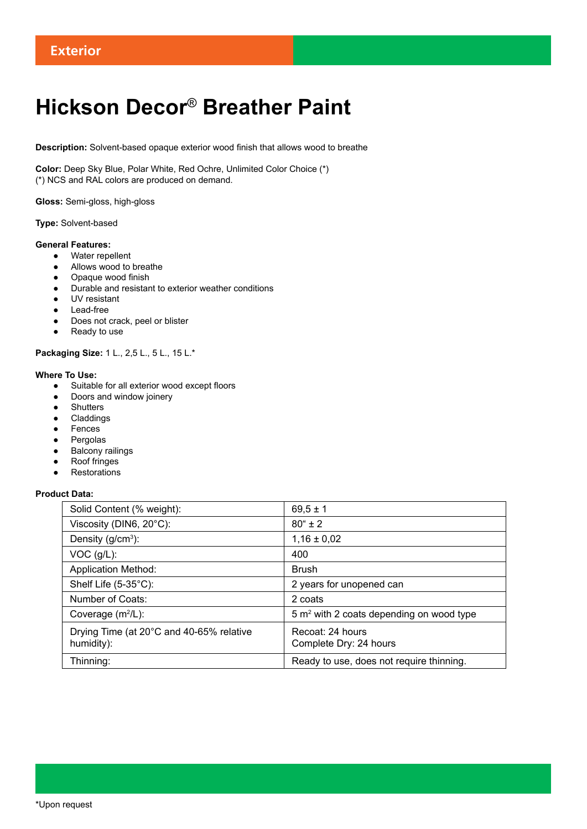# **Hickson Decor**® **Breather Paint**

**Description:** Solvent-based opaque exterior wood finish that allows wood to breathe

**Color:** Deep Sky Blue, Polar White, Red Ochre, Unlimited Color Choice (\*) (\*) NCS and RAL colors are produced on demand.

**Gloss:** Semi-gloss, high-gloss

# **Type:** Solvent-based

# **General Features:**

- Water repellent
- Allows wood to breathe
- Opaque wood finish
- Durable and resistant to exterior weather conditions
- UV resistant
- Lead-free
- Does not crack, peel or blister
- Ready to use

**Packaging Size:** 1 L., 2,5 L., 5 L., 15 L.\*

# **Where To Use:**

- Suitable for all exterior wood except floors
- Doors and window joinery
- Shutters
- Claddings
- Fences
- Pergolas
- Balcony railings
- Roof fringes
- Restorations

# **Product Data:**

| Solid Content (% weight):                              | $69,5 \pm 1$                                        |
|--------------------------------------------------------|-----------------------------------------------------|
| Viscosity (DIN6, 20°C):                                | $80^{\circ}$ ± 2                                    |
| Density $(g/cm3)$ :                                    | $1,16 \pm 0,02$                                     |
| $VOC$ ( $g/L$ ):                                       | 400                                                 |
| <b>Application Method:</b>                             | <b>Brush</b>                                        |
| Shelf Life $(5-35^{\circ}C)$ :                         | 2 years for unopened can                            |
| Number of Coats:                                       | 2 coats                                             |
| Coverage $(m^2/L)$ :                                   | $5 \text{ m}^2$ with 2 coats depending on wood type |
| Drying Time (at 20°C and 40-65% relative<br>humidity): | Recoat: 24 hours<br>Complete Dry: 24 hours          |
| Thinning:                                              | Ready to use, does not require thinning.            |